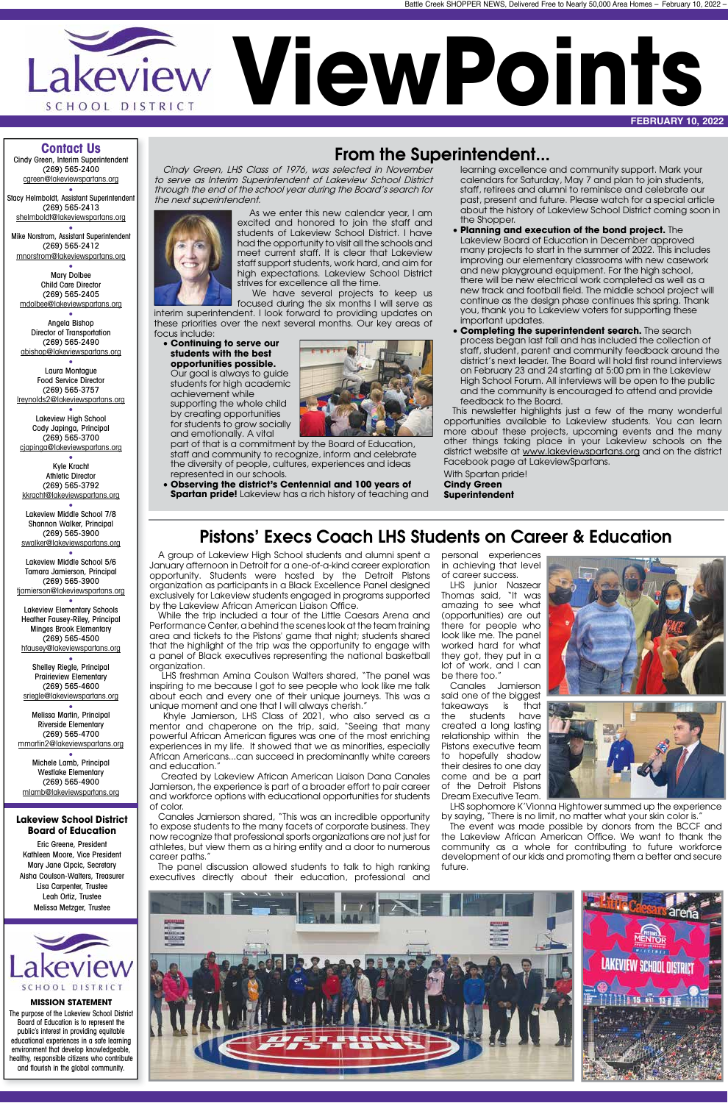

#### **Contact Us**

Cindy Green, Interim Superintendent (269) 565-2400 cgreen@lakeviewspartans.org •

Stacy Helmboldt, Assistant Superintendent (269) 565-2413 shelmboldt@lakeviewspartans.org

• Mike Norstrom, Assistant Superintendent (269) 565-2412 mnorstrom@lakeviewspartans.org

• Mary Dolbee Child Care Director (269) 565-2405 mdolbee@lakeviewspartans.org

• Angela Bishop Director of Transportation (269) 565-2490 abishop@lakeviewspartans.org

• Laura Montague Food Service Director (269) 565-3757 lreynolds2@lakeviewspartans.org

• Lakeview High School Cody Japinga, Principal (269) 565-3700 cjapinga@lakeviewspartans.org

• Kyle Kracht Athletic Director (269) 565-3792 kkracht@lakeviewspartans.org

• Lakeview Middle School 7/8 Shannon Walker, Principal (269) 565-3900 swalker@lakeviewspartans.org

• Lakeview Middle School 5/6 Tamara Jamierson, Principal (269) 565-3900 tjamierson@lakeviewspartans.org •

Lakeview Elementary Schools Heather Fausey-Riley, Principal Minges Brook Elementary (269) 565-4500 hfausey@lakeviewspartans.org

• Shelley Riegle, Principal Prairieview Elementary (269) 565-4600 sriegle@lakeviewspartans.org

• Melissa Martin, Principal Riverside Elementary (269) 565-4700 mmartin2@lakeviewspartans.org

• Michele Lamb, Principal Westlake Elementary (269) 565-4900 mlamb@lakeviewspartans.org

#### **Lakeview School District Board of Education**

Eric Greene, President Kathleen Moore, Vice President

Mary Jane Cipcic, Secretary Aisha Coulson-Walters, Treasurer Lisa Carpenter, Trustee Leah Ortiz, Trustee Melissa Metzger, Trustee



#### **MISSION STATEMENT**

The purpose of the Lakeview School District Board of Education is to represent the public's interest in providing equitable educational experiences in a safe learning environment that develop knowledgeable, healthy, responsible citizens who contribute and flourish in the global community.

#### From the Superintendent...

Cindy Green, LHS Class of 1976, was selected in November to serve as Interim Superintendent of Lakeview School District through the end of the school year during the Board's search for the next superintendent.

 As we enter this new calendar year, I am excited and honored to join the staff and students of Lakeview School District. I have had the opportunity to visit all the schools and meet current staff. It is clear that Lakeview staff support students, work hard, and aim for high expectations. Lakeview School District

A group of Lakeview High School students and alumni spent a January afternoon in Detroit for a one-of-a-kind career exploration opportunity. Students were hosted by the Detroit Pistons organization as participants in a Black Excellence Panel designed exclusively for Lakeview students engaged in programs supported by the Lakeview African American Liaison Office.

strives for excellence all the time. We have several projects to keep us

focused during the six months I will serve as interim superintendent. I look forward to providing updates on these priorities over the next several months. Our key areas of

focus include: • **Continuing to serve our students with the best** 

 LHS freshman Amina Coulson Walters shared, "The panel was inspiring to me because I got to see people who look like me talk about each and every one of their unique journeys. This was a unique moment and one that I will always cherish.'

**opportunities possible.** Our goal is always to guide students for high academic achievement while supporting the whole child by creating opportunities



staff and community to recognize, inform and celebrate the diversity of people, cultures, experiences and ideas represented in our schools.

- **Observing the district's Centennial and 100 years of**
- **Spartan pride!** Lakeview has a rich history of teaching and

learning excellence and community support. Mark your calendars for Saturday, May 7 and plan to join students, staff, retirees and alumni to reminisce and celebrate our past, present and future. Please watch for a special article about the history of Lakeview School District coming soon in the Shopper.

- **Planning and execution of the bond project.** The Lakeview Board of Education in December approved many projects to start in the summer of 2022. This includes improving our elementary classrooms with new casework and new playground equipment. For the high school, there will be new electrical work completed as well as a new track and football field. The middle school project will continue as the design phase continues this spring. Thank you, thank you to Lakeview voters for supporting these important updates.
- **Completing the superintendent search.** The search process began last fall and has included the collection of staff, student, parent and community feedback around the district's next leader. The Board will hold first round interviews on February 23 and 24 starting at 5:00 pm in the Lakeview High School Forum. All interviews will be open to the public and the community is encouraged to attend and provide feedback to the Board.

This newsletter highlights just a few of the many wonderful opportunities available to Lakeview students. You can learn more about these projects, upcoming events and the many other things taking place in your Lakeview schools on the district website at www.lakeviewspartans.org and on the district Facebook page at LakeviewSpartans.

With Spartan pride! **Cindy Green Superintendent**

#### Pistons' Execs Coach LHS Students on Career & Education

While the trip included a tour of the Little Caesars Arena and Performance Center, a behind the scenes look at the team training area and tickets to the Pistons' game that night; students shared that the highlight of the trip was the opportunity to engage with a panel of Black executives representing the national basketball organization.

 Khyle Jamierson, LHS Class of 2021, who also served as a mentor and chaperone on the trip, said, "Seeing that many powerful African American figures was one of the most enriching experiences in my life. It showed that we as minorities, especially African Americans...can succeed in predominantly white careers and education."

 Created by Lakeview African American Liaison Dana Canales Jamierson, the experience is part of a broader effort to pair career and workforce options with educational opportunities for students of color.

Canales Jamierson shared, "This was an incredible opportunity to expose students to the many facets of corporate business. They now recognize that professional sports organizations are not just for athletes, but view them as a hiring entity and a door to numerous career paths."

personal experiences in achieving that level

# of career success.

LHS junior Naszear be there too."

Thomas said, "It was amazing to see what (opportunities) are out there for people who look like me. The panel worked hard for what they got, they put in a lot of work, and I can

The panel discussion allowed students to talk to high ranking executives directly about their education, professional and future.



Canales Jamierson said one of the biggest takeaways is that the students have created a long lasting relationship within the Pistons executive team to hopefully shadow their desires to one day come and be a part of the Detroit Pistons

Dream Executive Team.





LHS sophomore K'Vionna Hightower summed up the experience by saying, "There is no limit, no matter what your skin color is."

The event was made possible by donors from the BCCF and the Lakeview African American Office. We want to thank the community as a whole for contributing to future workforce development of our kids and promoting them a better and secure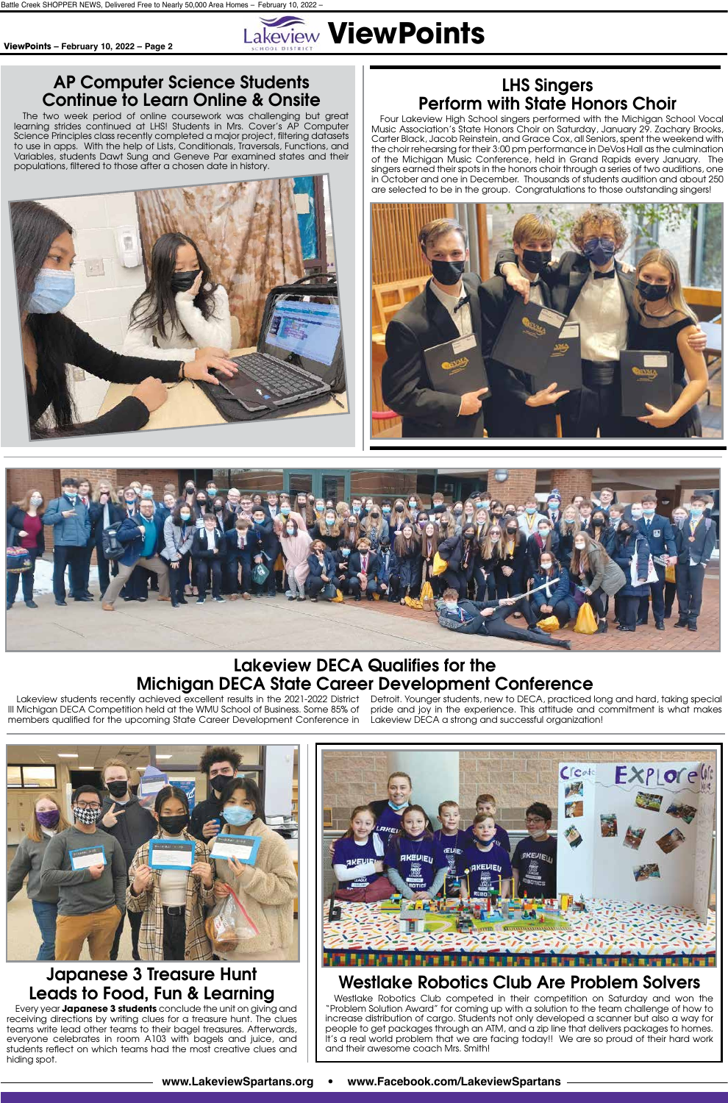

**www.LakeviewSpartans.org • www.Facebook.com/LakeviewSpartans**

#### LHS Singers Perform with State Honors Choir

Four Lakeview High School singers performed with the Michigan School Vocal Music Association's State Honors Choir on Saturday, January 29. Zachary Brooks, Carter Black, Jacob Reinstein, and Grace Cox, all Seniors, spent the weekend with the choir rehearsing for their 3:00 pm performance in DeVos Hall as the culmination of the Michigan Music Conference, held in Grand Rapids every January. The singers earned their spots in the honors choir through a series of two auditions, one in October and one in December. Thousands of students audition and about 250 are selected to be in the group. Congratulations to those outstanding singers!





#### AP Computer Science Students Continue to Learn Online & Onsite

The two week period of online coursework was challenging but great learning strides continued at LHS! Students in Mrs. Cover's AP Computer Science Principles class recently completed a major project, filtering datasets to use in apps. With the help of Lists, Conditionals, Traversals, Functions, and Variables, students Dawt Sung and Geneve Par examined states and their populations, filtered to those after a chosen date in history.



#### Lakeview DECA Qualifies for the Michigan DECA State Career Development Conference

III Michigan DECA Competition held at the WMU School of Business. Some 85% of members qualified for the upcoming State Career Development Conference in

Lakeview students recently achieved excellent results in the 2021-2022 District Detroit. Younger students, new to DECA, practiced long and hard, taking special pride and joy in the experience. This attitude and commitment is what makes Lakeview DECA a strong and successful organization!





## Japanese 3 Treasure Hunt Leads to Food, Fun & Learning

Every year **Japanese 3 students** conclude the unit on giving and receiving directions by writing clues for a treasure hunt. The clues teams write lead other teams to their bagel treasures. Afterwards, everyone celebrates in room A103 with bagels and juice, and students reflect on which teams had the most creative clues and hiding spot.

#### Westlake Robotics Club Are Problem Solvers

Westlake Robotics Club competed in their competition on Saturday and won the "Problem Solution Award" for coming up with a solution to the team challenge of how to increase distribution of cargo. Students not only developed a scanner but also a way for people to get packages through an ATM, and a zip line that delivers packages to homes. It's a real world problem that we are facing today!! We are so proud of their hard work and their awesome coach Mrs. Smith!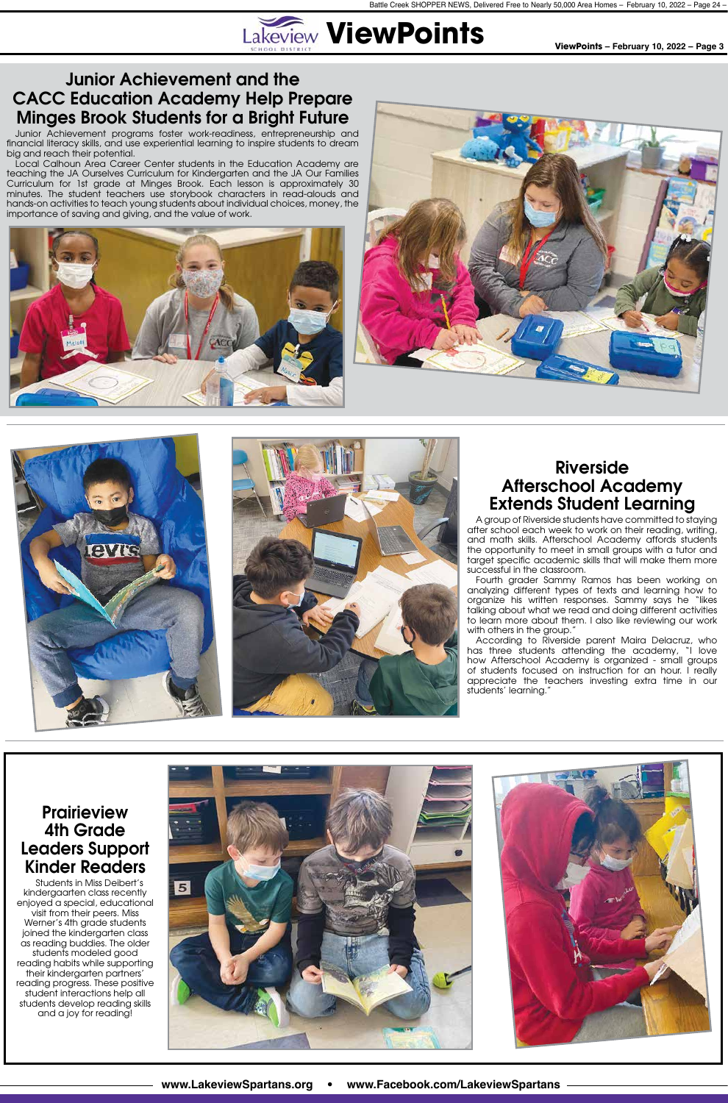

**www.LakeviewSpartans.org • www.Facebook.com/LakeviewSpartans**

#### Junior Achievement and the CACC Education Academy Help Prepare Minges Brook Students for a Bright Future

Junior Achievement programs foster work-readiness, entrepreneurship and financial literacy skills, and use experiential learning to inspire students to dream big and reach their potential.

> Fourth grader Sammy Ramos has been working on analyzing different types of texts and learning how to organize his written responses. Sammy says he "likes talking about what we read and doing different activities to learn more about them. I also like reviewing our work with others in the group."

Local Calhoun Area Career Center students in the Education Academy are teaching the JA Ourselves Curriculum for Kindergarten and the JA Our Families Curriculum for 1st grade at Minges Brook. Each lesson is approximately 30 minutes. The student teachers use storybook characters in read-alouds and hands-on activities to teach young students about individual choices, money, the importance of saving and giving, and the value of work.









**Prairieview** 4th Grade Leaders Support



#### Riverside Afterschool Academy Extends Student Learning



A group of Riverside students have committed to staying after school each week to work on their reading, writing, and math skills. Afterschool Academy affords students the opportunity to meet in small groups with a tutor and target specific academic skills that will make them more successful in the classroom.

According to Riverside parent Maira Delacruz, who has three students attending the academy, "I love how Afterschool Academy is organized - small groups of students focused on instruction for an hour. I really appreciate the teachers investing extra time in our students' learning."

#### Kinder Readers

Students in Miss Deibert's kindergaarten class recently enjoyed a special, educational visit from their peers. Miss Werner's 4th grade students joined the kindergarten class as reading buddies. The older students modeled good reading habits while supporting their kindergarten partners' reading progress. These positive student interactions help all students develop reading skills and a joy for reading!